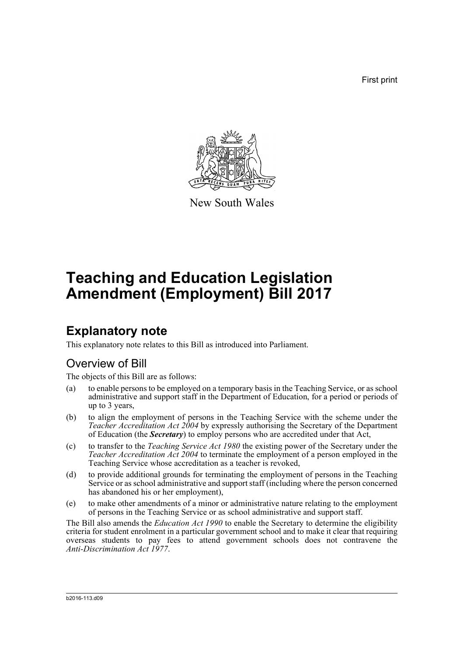First print



New South Wales

# **Teaching and Education Legislation Amendment (Employment) Bill 2017**

## **Explanatory note**

This explanatory note relates to this Bill as introduced into Parliament.

## Overview of Bill

The objects of this Bill are as follows:

- (a) to enable persons to be employed on a temporary basis in the Teaching Service, or as school administrative and support staff in the Department of Education, for a period or periods of up to 3 years,
- (b) to align the employment of persons in the Teaching Service with the scheme under the *Teacher Accreditation Act 2004* by expressly authorising the Secretary of the Department of Education (the *Secretary*) to employ persons who are accredited under that Act,
- (c) to transfer to the *Teaching Service Act 1980* the existing power of the Secretary under the *Teacher Accreditation Act 2004* to terminate the employment of a person employed in the Teaching Service whose accreditation as a teacher is revoked,
- (d) to provide additional grounds for terminating the employment of persons in the Teaching Service or as school administrative and support staff (including where the person concerned has abandoned his or her employment),
- (e) to make other amendments of a minor or administrative nature relating to the employment of persons in the Teaching Service or as school administrative and support staff.

The Bill also amends the *Education Act 1990* to enable the Secretary to determine the eligibility criteria for student enrolment in a particular government school and to make it clear that requiring overseas students to pay fees to attend government schools does not contravene the *Anti-Discrimination Act 1977*.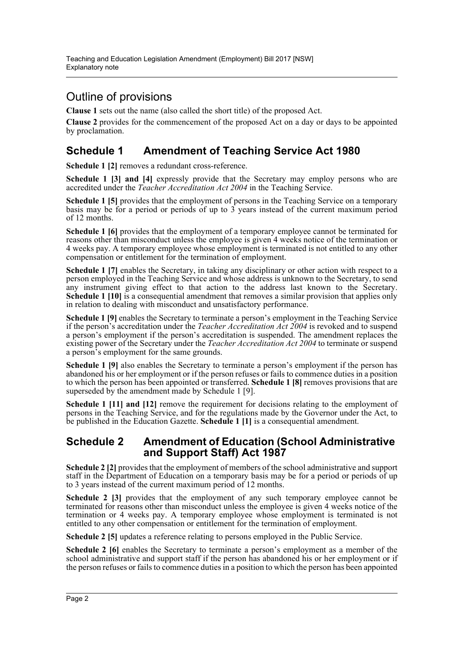## Outline of provisions

**Clause 1** sets out the name (also called the short title) of the proposed Act.

**Clause 2** provides for the commencement of the proposed Act on a day or days to be appointed by proclamation.

## **Schedule 1 Amendment of Teaching Service Act 1980**

**Schedule 1 [2]** removes a redundant cross-reference.

**Schedule 1 [3] and [4]** expressly provide that the Secretary may employ persons who are accredited under the *Teacher Accreditation Act 2004* in the Teaching Service.

**Schedule 1 [5]** provides that the employment of persons in the Teaching Service on a temporary basis may be for a period or periods of up to  $\overline{3}$  years instead of the current maximum period of 12 months.

**Schedule 1 [6]** provides that the employment of a temporary employee cannot be terminated for reasons other than misconduct unless the employee is given 4 weeks notice of the termination or 4 weeks pay. A temporary employee whose employment is terminated is not entitled to any other compensation or entitlement for the termination of employment.

**Schedule 1** [7] enables the Secretary, in taking any disciplinary or other action with respect to a person employed in the Teaching Service and whose address is unknown to the Secretary, to send any instrument giving effect to that action to the address last known to the Secretary. **Schedule 1 [10]** is a consequential amendment that removes a similar provision that applies only in relation to dealing with misconduct and unsatisfactory performance.

**Schedule 1 [9]** enables the Secretary to terminate a person's employment in the Teaching Service if the person's accreditation under the *Teacher Accreditation Act 2004* is revoked and to suspend a person's employment if the person's accreditation is suspended. The amendment replaces the existing power of the Secretary under the *Teacher Accreditation Act 2004* to terminate or suspend a person's employment for the same grounds.

**Schedule 1 [9]** also enables the Secretary to terminate a person's employment if the person has abandoned his or her employment or if the person refuses or fails to commence duties in a position to which the person has been appointed or transferred. **Schedule 1 [8]** removes provisions that are superseded by the amendment made by Schedule 1 [9].

**Schedule 1 [11] and [12]** remove the requirement for decisions relating to the employment of persons in the Teaching Service, and for the regulations made by the Governor under the Act, to be published in the Education Gazette. **Schedule 1 [1]** is a consequential amendment.

### **Schedule 2 Amendment of Education (School Administrative and Support Staff) Act 1987**

**Schedule 2 [2]** provides that the employment of members of the school administrative and support staff in the Department of Education on a temporary basis may be for a period or periods of up to 3 years instead of the current maximum period of 12 months.

**Schedule 2 [3]** provides that the employment of any such temporary employee cannot be terminated for reasons other than misconduct unless the employee is given 4 weeks notice of the termination or 4 weeks pay. A temporary employee whose employment is terminated is not entitled to any other compensation or entitlement for the termination of employment.

**Schedule 2 [5]** updates a reference relating to persons employed in the Public Service.

**Schedule 2 [6]** enables the Secretary to terminate a person's employment as a member of the school administrative and support staff if the person has abandoned his or her employment or if the person refuses or fails to commence duties in a position to which the person has been appointed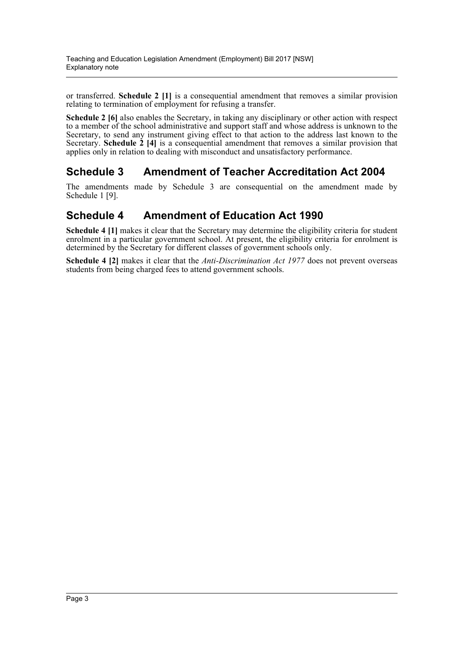or transferred. **Schedule 2 [1]** is a consequential amendment that removes a similar provision relating to termination of employment for refusing a transfer.

**Schedule 2 [6]** also enables the Secretary, in taking any disciplinary or other action with respect to a member of the school administrative and support staff and whose address is unknown to the Secretary, to send any instrument giving effect to that action to the address last known to the Secretary. **Schedule 2** [4] is a consequential amendment that removes a similar provision that applies only in relation to dealing with misconduct and unsatisfactory performance.

## **Schedule 3 Amendment of Teacher Accreditation Act 2004**

The amendments made by Schedule 3 are consequential on the amendment made by Schedule 1 [9].

## **Schedule 4 Amendment of Education Act 1990**

**Schedule 4 [1]** makes it clear that the Secretary may determine the eligibility criteria for student enrolment in a particular government school. At present, the eligibility criteria for enrolment is determined by the Secretary for different classes of government schools only.

**Schedule 4 [2]** makes it clear that the *Anti-Discrimination Act 1977* does not prevent overseas students from being charged fees to attend government schools.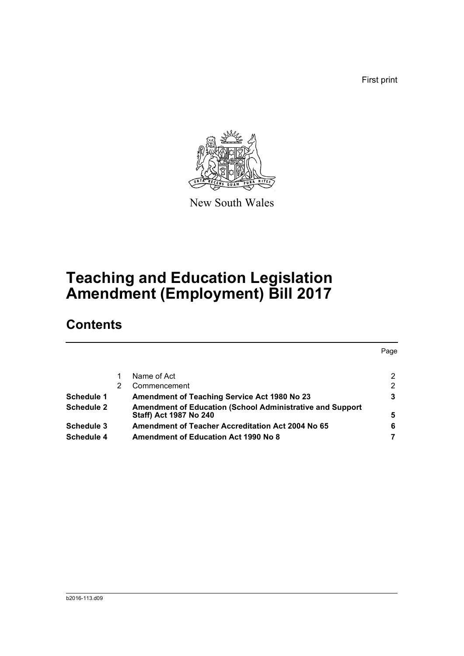First print



New South Wales

# **Teaching and Education Legislation Amendment (Employment) Bill 2017**

## **Contents**

|                   |   |                                                                  | Page |
|-------------------|---|------------------------------------------------------------------|------|
|                   |   |                                                                  |      |
|                   |   | Name of Act                                                      | 2    |
|                   | 2 | Commencement                                                     | 2    |
| Schedule 1        |   | Amendment of Teaching Service Act 1980 No 23                     | 3    |
| <b>Schedule 2</b> |   | <b>Amendment of Education (School Administrative and Support</b> |      |
|                   |   | Staff) Act 1987 No 240                                           | 5    |
| Schedule 3        |   | <b>Amendment of Teacher Accreditation Act 2004 No 65</b>         | 6    |
| Schedule 4        |   | <b>Amendment of Education Act 1990 No 8</b>                      |      |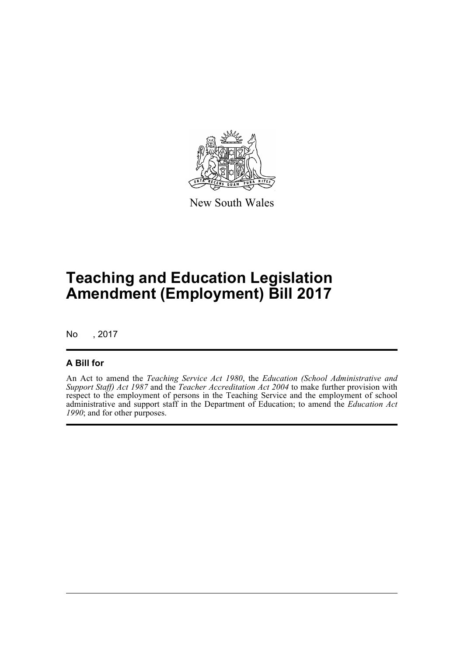

New South Wales

# **Teaching and Education Legislation Amendment (Employment) Bill 2017**

No , 2017

#### **A Bill for**

An Act to amend the *Teaching Service Act 1980*, the *Education (School Administrative and Support Staff) Act 1987* and the *Teacher Accreditation Act 2004* to make further provision with respect to the employment of persons in the Teaching Service and the employment of school administrative and support staff in the Department of Education; to amend the *Education Act 1990*; and for other purposes.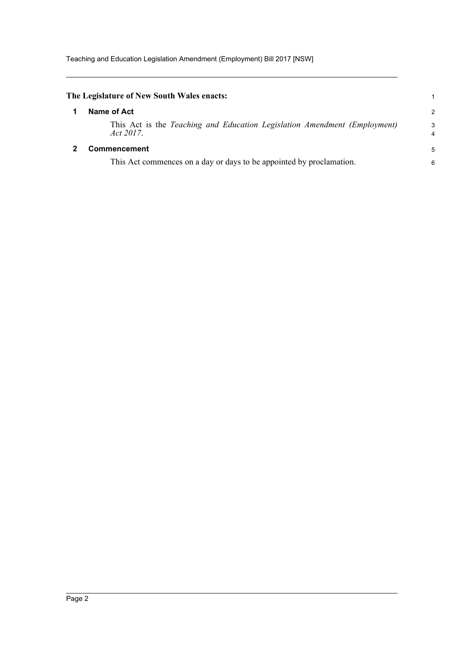<span id="page-5-1"></span><span id="page-5-0"></span>

| The Legislature of New South Wales enacts:                                             |        |
|----------------------------------------------------------------------------------------|--------|
| Name of Act                                                                            | 2      |
| This Act is the Teaching and Education Legislation Amendment (Employment)<br>Act 2017. | 3<br>4 |
| <b>Commencement</b>                                                                    | 5      |
| This Act commences on a day or days to be appointed by proclamation.                   | 6      |
|                                                                                        |        |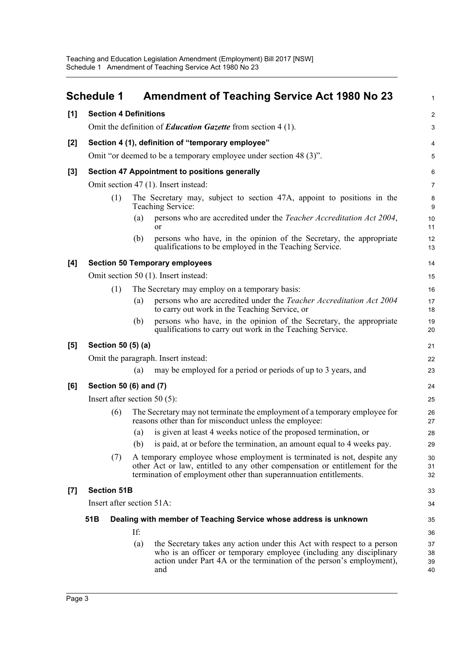<span id="page-6-0"></span>

|       | <b>Schedule 1</b>                                                                   |                                                   |     | <b>Amendment of Teaching Service Act 1980 No 23</b>                                                                                                                                                                          | $\mathbf{1}$         |  |
|-------|-------------------------------------------------------------------------------------|---------------------------------------------------|-----|------------------------------------------------------------------------------------------------------------------------------------------------------------------------------------------------------------------------------|----------------------|--|
| [1]   | <b>Section 4 Definitions</b>                                                        |                                                   |     |                                                                                                                                                                                                                              |                      |  |
|       | Omit the definition of <i>Education Gazette</i> from section 4 (1).                 |                                                   |     |                                                                                                                                                                                                                              |                      |  |
| [2]   |                                                                                     | Section 4 (1), definition of "temporary employee" |     |                                                                                                                                                                                                                              |                      |  |
|       |                                                                                     |                                                   |     | Omit "or deemed to be a temporary employee under section 48 (3)".                                                                                                                                                            | 5                    |  |
| [3]   |                                                                                     |                                                   |     | <b>Section 47 Appointment to positions generally</b>                                                                                                                                                                         | 6                    |  |
|       |                                                                                     |                                                   |     | Omit section 47 (1). Insert instead:                                                                                                                                                                                         | 7                    |  |
|       |                                                                                     | (1)                                               |     | The Secretary may, subject to section 47A, appoint to positions in the<br>Teaching Service:                                                                                                                                  | 8<br>9               |  |
|       |                                                                                     |                                                   | (a) | persons who are accredited under the Teacher Accreditation Act 2004,<br><sub>or</sub>                                                                                                                                        | 10<br>11             |  |
|       |                                                                                     |                                                   | (b) | persons who have, in the opinion of the Secretary, the appropriate<br>qualifications to be employed in the Teaching Service.                                                                                                 | 12<br>13             |  |
| [4]   |                                                                                     |                                                   |     | <b>Section 50 Temporary employees</b>                                                                                                                                                                                        | 14                   |  |
|       |                                                                                     |                                                   |     | Omit section 50 (1). Insert instead:                                                                                                                                                                                         | 15                   |  |
|       |                                                                                     | (1)                                               |     | The Secretary may employ on a temporary basis:                                                                                                                                                                               | 16                   |  |
|       |                                                                                     |                                                   | (a) | persons who are accredited under the Teacher Accreditation Act 2004<br>to carry out work in the Teaching Service, or                                                                                                         | 17<br>18             |  |
|       |                                                                                     |                                                   | (b) | persons who have, in the opinion of the Secretary, the appropriate<br>qualifications to carry out work in the Teaching Service.                                                                                              | 19<br>20             |  |
| [5]   | Section 50 (5) (a)                                                                  |                                                   |     |                                                                                                                                                                                                                              |                      |  |
|       |                                                                                     |                                                   |     | Omit the paragraph. Insert instead:                                                                                                                                                                                          | 22                   |  |
|       |                                                                                     |                                                   | (a) | may be employed for a period or periods of up to 3 years, and                                                                                                                                                                | 23                   |  |
| [6]   | Section 50 (6) and (7)                                                              |                                                   |     |                                                                                                                                                                                                                              |                      |  |
|       |                                                                                     |                                                   |     | Insert after section 50 $(5)$ :                                                                                                                                                                                              | 25                   |  |
|       |                                                                                     | (6)                                               |     | The Secretary may not terminate the employment of a temporary employee for<br>reasons other than for misconduct unless the employee:                                                                                         | 26<br>27             |  |
|       |                                                                                     |                                                   | (a) | is given at least 4 weeks notice of the proposed termination, or                                                                                                                                                             | 28                   |  |
|       |                                                                                     |                                                   | (b) | is paid, at or before the termination, an amount equal to 4 weeks pay.                                                                                                                                                       | 29                   |  |
|       |                                                                                     | (7)                                               |     | A temporary employee whose employment is terminated is not, despite any<br>other Act or law, entitled to any other compensation or entitlement for the<br>termination of employment other than superannuation entitlements.  | 30<br>31<br>32       |  |
| $[7]$ |                                                                                     | <b>Section 51B</b>                                |     |                                                                                                                                                                                                                              | 33                   |  |
|       | Insert after section 51A:                                                           |                                                   |     |                                                                                                                                                                                                                              |                      |  |
|       | 51 <sub>B</sub><br>Dealing with member of Teaching Service whose address is unknown |                                                   |     |                                                                                                                                                                                                                              |                      |  |
|       |                                                                                     |                                                   | If: |                                                                                                                                                                                                                              | 36                   |  |
|       |                                                                                     |                                                   | (a) | the Secretary takes any action under this Act with respect to a person<br>who is an officer or temporary employee (including any disciplinary<br>action under Part 4A or the termination of the person's employment),<br>and | 37<br>38<br>39<br>40 |  |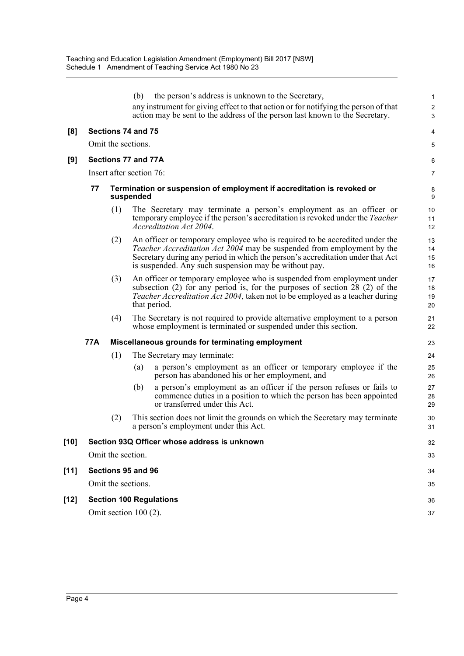|        |                    |                          | (b)                                                                                 | the person's address is unknown to the Secretary,                                                                                                                                                                                                                                                | 1                    |  |
|--------|--------------------|--------------------------|-------------------------------------------------------------------------------------|--------------------------------------------------------------------------------------------------------------------------------------------------------------------------------------------------------------------------------------------------------------------------------------------------|----------------------|--|
|        |                    |                          |                                                                                     | any instrument for giving effect to that action or for notifying the person of that<br>action may be sent to the address of the person last known to the Secretary.                                                                                                                              | $\overline{c}$<br>3  |  |
| [8]    |                    | Sections 74 and 75       |                                                                                     |                                                                                                                                                                                                                                                                                                  | 4                    |  |
|        |                    | Omit the sections.       |                                                                                     |                                                                                                                                                                                                                                                                                                  |                      |  |
| [9]    |                    | Sections 77 and 77A      |                                                                                     |                                                                                                                                                                                                                                                                                                  | 6                    |  |
|        |                    | Insert after section 76: |                                                                                     |                                                                                                                                                                                                                                                                                                  | 7                    |  |
|        | 77                 |                          | Termination or suspension of employment if accreditation is revoked or<br>suspended |                                                                                                                                                                                                                                                                                                  |                      |  |
|        |                    | (1)                      |                                                                                     | The Secretary may terminate a person's employment as an officer or<br>temporary employee if the person's accreditation is revoked under the Teacher<br>Accreditation Act 2004.                                                                                                                   | 10<br>11<br>12       |  |
|        |                    | (2)                      |                                                                                     | An officer or temporary employee who is required to be accredited under the<br>Teacher Accreditation Act 2004 may be suspended from employment by the<br>Secretary during any period in which the person's accreditation under that Act<br>is suspended. Any such suspension may be without pay. | 13<br>14<br>15<br>16 |  |
|        |                    | (3)                      |                                                                                     | An officer or temporary employee who is suspended from employment under<br>subsection (2) for any period is, for the purposes of section 28 (2) of the<br><i>Teacher Accreditation Act 2004</i> , taken not to be employed as a teacher during<br>that period.                                   | 17<br>18<br>19<br>20 |  |
|        |                    | (4)                      |                                                                                     | The Secretary is not required to provide alternative employment to a person<br>whose employment is terminated or suspended under this section.                                                                                                                                                   | 21<br>22             |  |
|        | 77A                |                          |                                                                                     | Miscellaneous grounds for terminating employment                                                                                                                                                                                                                                                 | 23                   |  |
|        |                    | (1)                      |                                                                                     | The Secretary may terminate:                                                                                                                                                                                                                                                                     | 24                   |  |
|        |                    |                          | (a)                                                                                 | a person's employment as an officer or temporary employee if the<br>person has abandoned his or her employment, and                                                                                                                                                                              | 25<br>26             |  |
|        |                    |                          | (b)                                                                                 | a person's employment as an officer if the person refuses or fails to<br>commence duties in a position to which the person has been appointed<br>or transferred under this Act.                                                                                                                  | 27<br>28<br>29       |  |
|        |                    | (2)                      |                                                                                     | This section does not limit the grounds on which the Secretary may terminate<br>a person's employment under this Act.                                                                                                                                                                            | 30<br>31             |  |
| [10]   |                    |                          |                                                                                     | Section 93Q Officer whose address is unknown                                                                                                                                                                                                                                                     | 32                   |  |
|        |                    | Omit the section.        |                                                                                     |                                                                                                                                                                                                                                                                                                  | 33                   |  |
| [11]   | Sections 95 and 96 |                          |                                                                                     |                                                                                                                                                                                                                                                                                                  |                      |  |
|        |                    | Omit the sections.       |                                                                                     |                                                                                                                                                                                                                                                                                                  | 35                   |  |
| $[12]$ |                    |                          |                                                                                     | <b>Section 100 Regulations</b>                                                                                                                                                                                                                                                                   | 36                   |  |
|        |                    | Omit section 100 (2).    |                                                                                     |                                                                                                                                                                                                                                                                                                  | 37                   |  |
|        |                    |                          |                                                                                     |                                                                                                                                                                                                                                                                                                  |                      |  |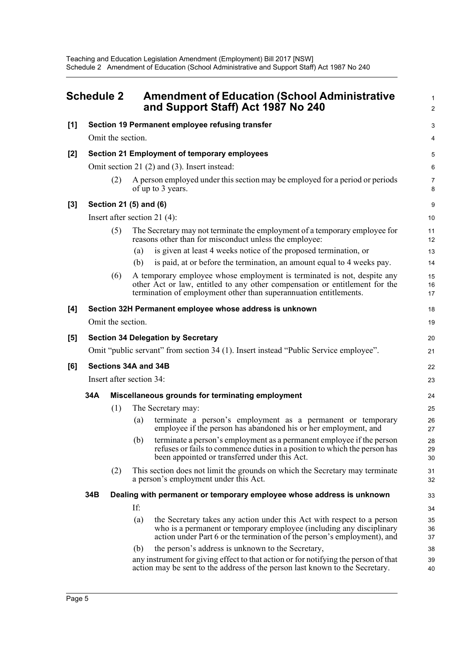<span id="page-8-0"></span>

| Schedule 2 |                                                                                                                              | <b>Amendment of Education (School Administrative</b><br>and Support Staff) Act 1987 No 240 |     |                                                                                                                                                                                                                             |                     |  |  |
|------------|------------------------------------------------------------------------------------------------------------------------------|--------------------------------------------------------------------------------------------|-----|-----------------------------------------------------------------------------------------------------------------------------------------------------------------------------------------------------------------------------|---------------------|--|--|
| [1]        |                                                                                                                              |                                                                                            |     | Section 19 Permanent employee refusing transfer                                                                                                                                                                             | 3                   |  |  |
|            | Omit the section.                                                                                                            |                                                                                            |     |                                                                                                                                                                                                                             |                     |  |  |
| [2]        |                                                                                                                              |                                                                                            |     | Section 21 Employment of temporary employees                                                                                                                                                                                | 5                   |  |  |
|            |                                                                                                                              | Omit section 21 (2) and (3). Insert instead:                                               |     |                                                                                                                                                                                                                             |                     |  |  |
|            |                                                                                                                              | (2)                                                                                        |     | A person employed under this section may be employed for a period or periods<br>of up to 3 years.                                                                                                                           | $\overline{7}$<br>8 |  |  |
| $[3]$      |                                                                                                                              | Section 21 (5) and (6)                                                                     |     |                                                                                                                                                                                                                             |                     |  |  |
|            |                                                                                                                              | Insert after section 21 $(4)$ :                                                            |     |                                                                                                                                                                                                                             |                     |  |  |
|            |                                                                                                                              | (5)                                                                                        |     | The Secretary may not terminate the employment of a temporary employee for<br>reasons other than for misconduct unless the employee:                                                                                        | 11<br>12            |  |  |
|            |                                                                                                                              |                                                                                            | (a) | is given at least 4 weeks notice of the proposed termination, or                                                                                                                                                            | 13                  |  |  |
|            |                                                                                                                              |                                                                                            | (b) | is paid, at or before the termination, an amount equal to 4 weeks pay.                                                                                                                                                      | 14                  |  |  |
|            |                                                                                                                              | (6)                                                                                        |     | A temporary employee whose employment is terminated is not, despite any<br>other Act or law, entitled to any other compensation or entitlement for the<br>termination of employment other than superannuation entitlements. | 15<br>16<br>17      |  |  |
| [4]        |                                                                                                                              |                                                                                            |     | Section 32H Permanent employee whose address is unknown                                                                                                                                                                     | 18                  |  |  |
|            |                                                                                                                              | Omit the section.                                                                          |     |                                                                                                                                                                                                                             | 19                  |  |  |
| [5]        |                                                                                                                              |                                                                                            |     | <b>Section 34 Delegation by Secretary</b>                                                                                                                                                                                   | 20                  |  |  |
|            |                                                                                                                              |                                                                                            |     | Omit "public servant" from section 34 (1). Insert instead "Public Service employee".                                                                                                                                        | 21                  |  |  |
| [6]        | Sections 34A and 34B                                                                                                         |                                                                                            |     |                                                                                                                                                                                                                             |                     |  |  |
|            |                                                                                                                              | Insert after section 34:                                                                   |     |                                                                                                                                                                                                                             |                     |  |  |
|            | 34A                                                                                                                          |                                                                                            |     | Miscellaneous grounds for terminating employment                                                                                                                                                                            | 24                  |  |  |
|            |                                                                                                                              | (1)                                                                                        |     | The Secretary may:                                                                                                                                                                                                          | 25                  |  |  |
|            |                                                                                                                              |                                                                                            | (a) | terminate a person's employment as a permanent or temporary<br>employee if the person has abandoned his or her employment, and                                                                                              | 26<br>27            |  |  |
|            |                                                                                                                              |                                                                                            | (b) | terminate a person's employment as a permanent employee if the person<br>refuses or fails to commence duties in a position to which the person has<br>been appointed or transferred under this Act.                         | 28<br>29<br>30      |  |  |
|            | (2)<br>This section does not limit the grounds on which the Secretary may terminate<br>a person's employment under this Act. |                                                                                            |     |                                                                                                                                                                                                                             |                     |  |  |
|            | 34B<br>Dealing with permanent or temporary employee whose address is unknown                                                 |                                                                                            |     |                                                                                                                                                                                                                             | 33                  |  |  |
|            |                                                                                                                              |                                                                                            | If: |                                                                                                                                                                                                                             | 34                  |  |  |
|            |                                                                                                                              |                                                                                            | (a) | the Secretary takes any action under this Act with respect to a person<br>who is a permanent or temporary employee (including any disciplinary<br>action under Part 6 or the termination of the person's employment), and   | 35<br>36<br>37      |  |  |
|            |                                                                                                                              |                                                                                            | (b) | the person's address is unknown to the Secretary,<br>any instrument for giving effect to that action or for notifying the person of that<br>action may be sent to the address of the person last known to the Secretary.    | 38<br>39<br>40      |  |  |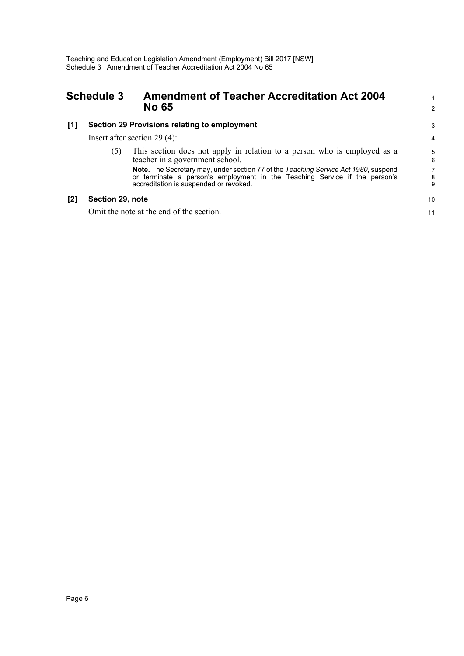### <span id="page-9-0"></span>**Schedule 3 Amendment of Teacher Accreditation Act 2004 No 65**

#### **[1] Section 29 Provisions relating to employment**

Insert after section 29 (4):

(5) This section does not apply in relation to a person who is employed as a teacher in a government school.

**Note.** The Secretary may, under section 77 of the *Teaching Service Act 1980*, suspend or terminate a person's employment in the Teaching Service if the person's accreditation is suspended or revoked.

#### **[2] Section 29, note**

Omit the note at the end of the section.

11

1 2